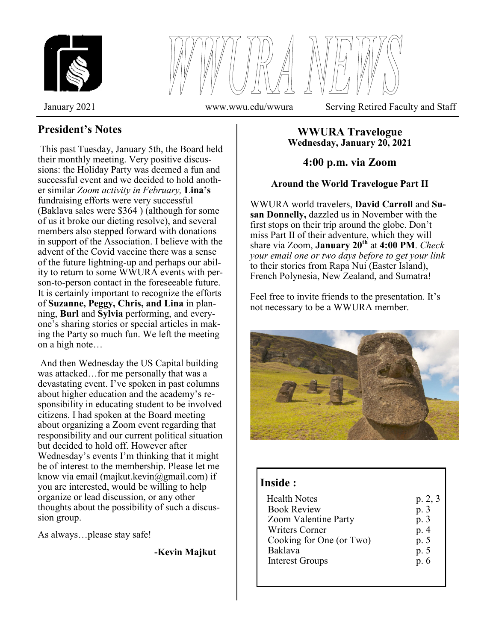



January 2021 www.wwu.edu/wwura Serving Retired Faculty and Staff

## **President's Notes**

This past Tuesday, January 5th, the Board held their monthly meeting. Very positive discussions: the Holiday Party was deemed a fun and successful event and we decided to hold another similar *Zoom activity in February,* **Lina's** fundraising efforts were very successful (Baklava sales were \$364 ) (although for some of us it broke our dieting resolve), and several members also stepped forward with donations in support of the Association. I believe with the advent of the Covid vaccine there was a sense of the future lightning-up and perhaps our ability to return to some WWURA events with person-to-person contact in the foreseeable future. It is certainly important to recognize the efforts of **Suzanne, Peggy, Chris, and Lina** in planning, **Burl** and **Sylvia** performing, and everyone's sharing stories or special articles in making the Party so much fun. We left the meeting on a high note…

And then Wednesday the US Capital building was attacked…for me personally that was a devastating event. I've spoken in past columns about higher education and the academy's responsibility in educating student to be involved citizens. I had spoken at the Board meeting about organizing a Zoom event regarding that responsibility and our current political situation but decided to hold off. However after Wednesday's events I'm thinking that it might be of interest to the membership. Please let me know via email (majkut.kevin $(\partial g$ mail.com) if you are interested, would be willing to help organize or lead discussion, or any other thoughts about the possibility of such a discussion group.

As always…please stay safe!

**-Kevin Majkut**

### **WWURA Travelogue Wednesday, January 20, 2021**

## **4:00 p.m. via Zoom**

### **Around the World Travelogue Part II**

WWURA world travelers, **David Carroll** and **Susan Donnelly,** dazzled us in November with the first stops on their trip around the globe. Don't miss Part II of their adventure, which they will share via Zoom, **January 20th** at **4:00 PM**. *Check your email one or two days before to get your link*  to their stories from Rapa Nui (Easter Island), French Polynesia, New Zealand, and Sumatra!

Feel free to invite friends to the presentation. It's not necessary to be a WWURA member.



### **Inside :**

| <b>Health Notes</b>      | p. 2, 3 |
|--------------------------|---------|
|                          |         |
| <b>Book Review</b>       | p. 3    |
| Zoom Valentine Party     | p. 3    |
| <b>Writers Corner</b>    | p. 4    |
| Cooking for One (or Two) | p. 5    |
| Baklava                  | p. 5    |
| <b>Interest Groups</b>   | p. 6    |
|                          |         |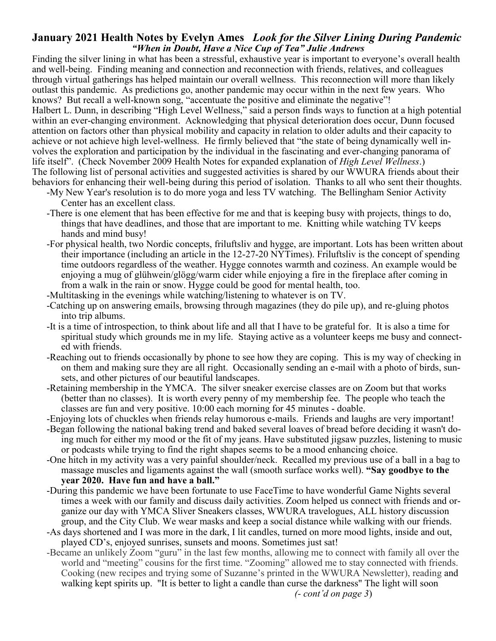#### **January 2021 Health Notes by Evelyn Ames** *Look for the Silver Lining During Pandemic "When in Doubt, Have a Nice Cup of Tea" Julie Andrews*

Finding the silver lining in what has been a stressful, exhaustive year is important to everyone's overall health and well-being. Finding meaning and connection and reconnection with friends, relatives, and colleagues through virtual gatherings has helped maintain our overall wellness. This reconnection will more than likely outlast this pandemic. As predictions go, another pandemic may occur within in the next few years. Who knows? But recall a well-known song, "accentuate the positive and eliminate the negative"!

Halbert L. Dunn, in describing "High Level Wellness," said a person finds ways to function at a high potential within an ever-changing environment. Acknowledging that physical deterioration does occur, Dunn focused attention on factors other than physical mobility and capacity in relation to older adults and their capacity to achieve or not achieve high level-wellness. He firmly believed that "the state of being dynamically well involves the exploration and participation by the individual in the fascinating and ever-changing panorama of life itself". (Check November 2009 Health Notes for expanded explanation of *High Level Wellness*.) The following list of personal activities and suggested activities is shared by our WWURA friends about their behaviors for enhancing their well-being during this period of isolation. Thanks to all who sent their thoughts.

- -My New Year's resolution is to do more yoga and less TV watching. The Bellingham Senior Activity Center has an excellent class.
- -There is one element that has been effective for me and that is keeping busy with projects, things to do, things that have deadlines, and those that are important to me. Knitting while watching TV keeps hands and mind busy!
- -For physical health, two Nordic concepts, friluftsliv and hygge, are important. Lots has been written about their importance (including an article in the 12-27-20 NYTimes). Friluftsliv is the concept of spending time outdoors regardless of the weather. Hygge connotes warmth and coziness. An example would be enjoying a mug of glühwein/glögg/warm cider while enjoying a fire in the fireplace after coming in from a walk in the rain or snow. Hygge could be good for mental health, too.
- -Multitasking in the evenings while watching/listening to whatever is on TV.
- -Catching up on answering emails, browsing through magazines (they do pile up), and re-gluing photos into trip albums.
- -It is a time of introspection, to think about life and all that I have to be grateful for. It is also a time for spiritual study which grounds me in my life. Staying active as a volunteer keeps me busy and connected with friends.
- -Reaching out to friends occasionally by phone to see how they are coping. This is my way of checking in on them and making sure they are all right. Occasionally sending an e-mail with a photo of birds, sunsets, and other pictures of our beautiful landscapes.
- -Retaining membership in the YMCA. The silver sneaker exercise classes are on Zoom but that works (better than no classes). It is worth every penny of my membership fee. The people who teach the classes are fun and very positive. 10:00 each morning for 45 minutes - doable.
- -Enjoying lots of chuckles when friends relay humorous e-mails. Friends and laughs are very important!
- -Began following the national baking trend and baked several loaves of bread before deciding it wasn't doing much for either my mood or the fit of my jeans. Have substituted jigsaw puzzles, listening to music or podcasts while trying to find the right shapes seems to be a mood enhancing choice.
- -One hitch in my activity was a very painful shoulder/neck. Recalled my previous use of a ball in a bag to massage muscles and ligaments against the wall (smooth surface works well). **"Say goodbye to the year 2020. Have fun and have a ball."**
- -During this pandemic we have been fortunate to use FaceTime to have wonderful Game Nights several times a week with our family and discuss daily activities. Zoom helped us connect with friends and organize our day with YMCA Sliver Sneakers classes, WWURA travelogues, ALL history discussion group, and the City Club. We wear masks and keep a social distance while walking with our friends.
- -As days shortened and I was more in the dark, I lit candles, turned on more mood lights, inside and out, played CD's, enjoyed sunrises, sunsets and moons. Sometimes just sat!
- -Became an unlikely Zoom "guru" in the last few months, allowing me to connect with family all over the world and "meeting" cousins for the first time. "Zooming" allowed me to stay connected with friends. Cooking (new recipes and trying some of Suzanne's printed in the WWURA Newsletter), reading and walking kept spirits up. "It is better to light a candle than curse the darkness" The light will soon

*(- cont'd on page 3*)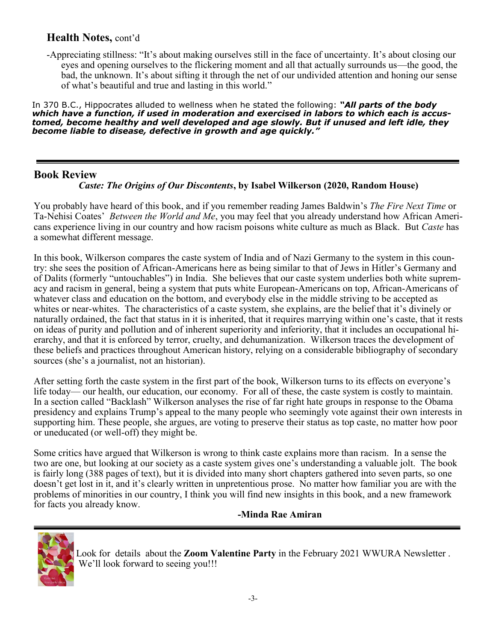## **Health Notes,** cont'd

-Appreciating stillness: "It's about making ourselves still in the face of uncertainty. It's about closing our eyes and opening ourselves to the flickering moment and all that actually surrounds us—the good, the bad, the unknown. It's about sifting it through the net of our undivided attention and honing our sense of what's beautiful and true and lasting in this world."

In 370 B.C., Hippocrates alluded to wellness when he stated the following: *"All parts of the body which have a function, if used in moderation and exercised in labors to which each is accustomed, become healthy and well developed and age slowly. But if unused and left idle, they become liable to disease, defective in growth and age quickly."*

## **Book Review**

*Caste: The Origins of Our Discontents***, by Isabel Wilkerson (2020, Random House)**

You probably have heard of this book, and if you remember reading James Baldwin's *The Fire Next Time* or Ta-Nehisi Coates' *Between the World and Me*, you may feel that you already understand how African Americans experience living in our country and how racism poisons white culture as much as Black. But *Caste* has a somewhat different message.

In this book, Wilkerson compares the caste system of India and of Nazi Germany to the system in this country: she sees the position of African-Americans here as being similar to that of Jews in Hitler's Germany and of Dalits (formerly "untouchables") in India. She believes that our caste system underlies both white supremacy and racism in general, being a system that puts white European-Americans on top, African-Americans of whatever class and education on the bottom, and everybody else in the middle striving to be accepted as whites or near-whites. The characteristics of a caste system, she explains, are the belief that it's divinely or naturally ordained, the fact that status in it is inherited, that it requires marrying within one's caste, that it rests on ideas of purity and pollution and of inherent superiority and inferiority, that it includes an occupational hierarchy, and that it is enforced by terror, cruelty, and dehumanization. Wilkerson traces the development of these beliefs and practices throughout American history, relying on a considerable bibliography of secondary sources (she's a journalist, not an historian).

After setting forth the caste system in the first part of the book, Wilkerson turns to its effects on everyone's life today— our health, our education, our economy. For all of these, the caste system is costly to maintain. In a section called "Backlash" Wilkerson analyses the rise of far right hate groups in response to the Obama presidency and explains Trump's appeal to the many people who seemingly vote against their own interests in supporting him. These people, she argues, are voting to preserve their status as top caste, no matter how poor or uneducated (or well-off) they might be.

Some critics have argued that Wilkerson is wrong to think caste explains more than racism. In a sense the two are one, but looking at our society as a caste system gives one's understanding a valuable jolt. The book is fairly long (388 pages of text), but it is divided into many short chapters gathered into seven parts, so one doesn't get lost in it, and it's clearly written in unpretentious prose. No matter how familiar you are with the problems of minorities in our country, I think you will find new insights in this book, and a new framework for facts you already know.

**-Minda Rae Amiran**



Look for details about the **Zoom Valentine Party** in the February 2021 WWURA Newsletter . We'll look forward to seeing you!!!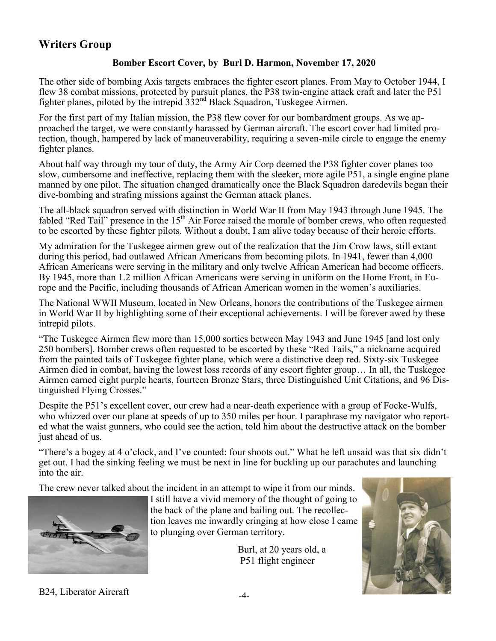## **Writers Group**

#### **Bomber Escort Cover, by Burl D. Harmon, November 17, 2020**

The other side of bombing Axis targets embraces the fighter escort planes. From May to October 1944, I flew 38 combat missions, protected by pursuit planes, the P38 twin-engine attack craft and later the P51 fighter planes, piloted by the intrepid  $332<sup>nd</sup>$  Black Squadron, Tuskegee Airmen.

For the first part of my Italian mission, the P38 flew cover for our bombardment groups. As we approached the target, we were constantly harassed by German aircraft. The escort cover had limited protection, though, hampered by lack of maneuverability, requiring a seven-mile circle to engage the enemy fighter planes.

About half way through my tour of duty, the Army Air Corp deemed the P38 fighter cover planes too slow, cumbersome and ineffective, replacing them with the sleeker, more agile P51, a single engine plane manned by one pilot. The situation changed dramatically once the Black Squadron daredevils began their dive-bombing and strafing missions against the German attack planes.

The all-black squadron served with distinction in World War II from May 1943 through June 1945. The fabled "Red Tail" presence in the 15<sup>th</sup> Air Force raised the morale of bomber crews, who often requested to be escorted by these fighter pilots. Without a doubt, I am alive today because of their heroic efforts.

My admiration for the Tuskegee airmen grew out of the realization that the Jim Crow laws, still extant during this period, had outlawed African Americans from becoming pilots. In 1941, fewer than 4,000 African Americans were serving in the military and only twelve African American had become officers. By 1945, more than 1.2 million African Americans were serving in uniform on the Home Front, in Europe and the Pacific, including thousands of African American women in the women's auxiliaries.

The National WWII Museum, located in New Orleans, honors the contributions of the Tuskegee airmen in World War II by highlighting some of their exceptional achievements. I will be forever awed by these intrepid pilots.

"The Tuskegee Airmen flew more than 15,000 sorties between May 1943 and June 1945 [and lost only 250 bombers]. Bomber crews often requested to be escorted by these "Red Tails," a nickname acquired from the painted tails of Tuskegee fighter plane, which were a distinctive deep red. Sixty-six Tuskegee Airmen died in combat, having the lowest loss records of any escort fighter group… In all, the Tuskegee Airmen earned eight purple hearts, fourteen Bronze Stars, three Distinguished Unit Citations, and 96 Distinguished Flying Crosses."

Despite the P51's excellent cover, our crew had a near-death experience with a group of Focke-Wulfs, who whizzed over our plane at speeds of up to 350 miles per hour. I paraphrase my navigator who reported what the waist gunners, who could see the action, told him about the destructive attack on the bomber just ahead of us.

"There's a bogey at 4 o'clock, and I've counted: four shoots out." What he left unsaid was that six didn't get out. I had the sinking feeling we must be next in line for buckling up our parachutes and launching into the air.

The crew never talked about the incident in an attempt to wipe it from our minds.



I still have a vivid memory of the thought of going to the back of the plane and bailing out. The recollection leaves me inwardly cringing at how close I came to plunging over German territory.

> Burl, at 20 years old, a P51 flight engineer



B24, Liberator Aircraft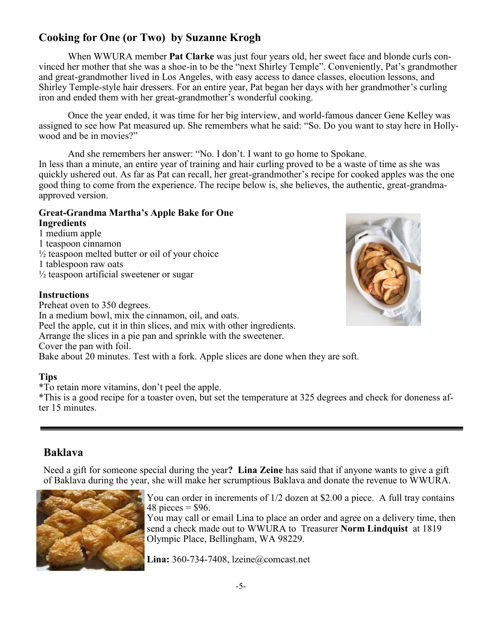# **Cooking for One (or Two) by Suzanne Krogh**

When WWURA member **Pat Clarke** was just four years old, her sweet face and blonde curls convinced her mother that she was a shoe-in to be the "next Shirley Temple". Conveniently, Pat's grandmother and great-grandmother lived in Los Angeles, with easy access to dance classes, elocution lessons, and Shirley Temple-style hair dressers. For an entire year, Pat began her days with her grandmother's curling iron and ended them with her great-grandmother's wonderful cooking.

Once the year ended, it was time for her big interview, and world-famous dancer Gene Kelley was assigned to see how Pat measured up. She remembers what he said: "So. Do you want to stay here in Hollywood and be in movies?"

And she remembers her answer: "No. I don't. I want to go home to Spokane. In less than a minute, an entire year of training and hair curling proved to be a waste of time as she was quickly ushered out. As far as Pat can recall, her great-grandmother's recipe for cooked apples was the one good thing to come from the experience. The recipe below is, she believes, the authentic, great-grandmaapproved version.

#### **Great-Grandma Martha's Apple Bake for One Ingredients**

1 medium apple 1 teaspoon cinnamon  $\frac{1}{2}$  teaspoon melted butter or oil of your choice 1 tablespoon raw oats  $\frac{1}{2}$  teaspoon artificial sweetener or sugar

#### **Instructions**

Preheat oven to 350 degrees. In a medium bowl, mix the cinnamon, oil, and oats. Peel the apple, cut it in thin slices, and mix with other ingredients. Arrange the slices in a pie pan and sprinkle with the sweetener. Cover the pan with foil. Bake about 20 minutes. Test with a fork. Apple slices are done when they are soft.

#### **Tips**

\*To retain more vitamins, don't peel the apple.

\*This is a good recipe for a toaster oven, but set the temperature at 325 degrees and check for doneness after 15 minutes.

## **Baklava**

Need a gift for someone special during the year**? Lina Zeine** has said that if anyone wants to give a gift of Baklava during the year, she will make her scrumptious Baklava and donate the revenue to WWURA.



You can order in increments of 1/2 dozen at \$2.00 a piece. A full tray contains 48 pieces  $=$  \$96.

You may call or email Lina to place an order and agree on a delivery time, then send a check made out to WWURA to Treasurer **Norm Lindquist** at 1819 Olympic Place, Bellingham, WA 98229.

**Lina:** 360-734-7408, lzeine@comcast.net